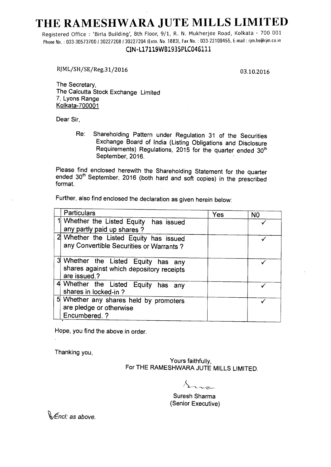# **THE RAMESHWARA JUTE MILLS LIMITED**

Registered Office : 'Birla Building', 8th Floor, 9/1, R. N. Mukherjee Road, Kolkata - 700 001 Phone No.: 033-30573700 / 30227208 / 30227204 (Extn. No. 1883), Fax No.: 033-22109455, E-mail: rjm.ho@rjm.co.in

## CIN-L17119WB1935PLC046111

RJML/SH/SE/Reg.31/2016 03.10.2016

The Secretary, The Calcutta Stock Exchange Limited 7, Lyons Range Kolkata-700001

Dear Sir,

Re: Shareholding Pattern under Regulation 31 of the Securities Exchange Board of India (Listing Obligations and Disclosure Requirements) Regulations, 2015 for the quarter ended 30<sup>th</sup><br>September, 2016.

Please find enclosed herewith the Shareholding Statement for the quarter ended 30<sup>th</sup> September, 2016 (both hard and soft copies) in the prescribed format.

Further, also find enclosed the declaration as given herein below:

| <b>Particulars</b>                                                                              | Yes | N <sub>0</sub> |
|-------------------------------------------------------------------------------------------------|-----|----------------|
| 1 Whether the Listed Equity has issued<br>any partly paid up shares?                            |     |                |
| 2 Whether the Listed Equity has issued<br>any Convertible Securities or Warrants?               |     |                |
| 3 Whether the Listed Equity has any<br>shares against which depository receipts<br>are issued.? |     |                |
| 4 Whether the Listed Equity has any<br>shares in locked-in?                                     |     |                |
| 5 Whether any shares held by promoters<br>are pledge or otherwise<br>Encumbered. ?              |     |                |

Hope, you find the above in order.

Thanking you,

Yours faithfully, For THE RAMESHWARA JUTE MILLS LIMITED.

Suresh Sharma (Senior Executive)

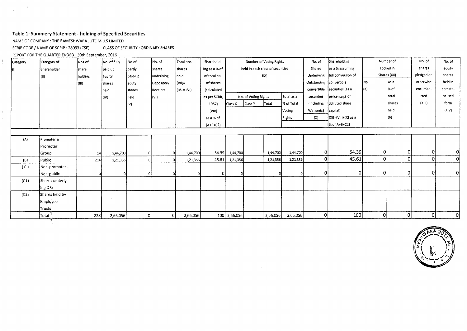### Table 1: Summery Statement - holding of Specified Securities

NAME OF COMPANY : THE RAMESHWARA JUTE MILLS LIMITED

 $\mathcal{A}$ 

 $\mathcal{L}$ 

 $\cdot$  (

 $\epsilon$ 

SCRIP CODE / NAME OF SCRIP : 28093 (CSE) CLASS OF SECURITY : ORDINARY SHARES

REPORT FOR THE QUARTER ENDED : 30th September, 2016

| Category          | Category of     | Nos.of  | No. of fully | No.of         | No. of     | Total nos. | Sharehold-    |              |                      | Number of Voting Rights          |            | No. of                  | Shareholding                    |     | Number of    | No. of     | No. of         |
|-------------------|-----------------|---------|--------------|---------------|------------|------------|---------------|--------------|----------------------|----------------------------------|------------|-------------------------|---------------------------------|-----|--------------|------------|----------------|
| $\vert (1) \vert$ | Shareholder     | share   | paid up      | Jpartiy       | shares     | shares     | ing as a % of |              |                      | held in each class of securities |            | <b>Shares</b>           | as a % assuming                 |     | Locked in    | shares     | equity         |
|                   | (II)            | holders | equity       | paid-up       | underlying | held:      | of total no.  |              |                      | (IX)                             |            |                         | Underlying   full conversion of |     | Shares (XII) | pledged or | shares         |
|                   |                 | (III)   | ishares      | equty         | Depository | $ V  =$    | of shares     |              |                      |                                  |            | Outstanding convertible |                                 | No. | As a         | otherwise  | held in        |
|                   |                 |         | held         | <b>shares</b> | Receipts   | (IV+V+VI)  | (calculated   |              |                      |                                  |            |                         | convertible securities (as a    | (a) | % of         | encumbe-   | demate-        |
|                   |                 |         | (IV)         | held          | (VI)       |            | as per SCRR,  |              | No. of Voting Rights |                                  | Total as a | securities              | percentage of                   |     | total        | rred       | rialised       |
|                   |                 |         |              | (V)           |            |            | 1957)         | Class X      | Class Y              | Total                            | % of Total | (including              | ddiluted share                  |     | shares       | (XIII)     | form           |
|                   |                 |         |              |               |            |            | (VIII)        |              |                      |                                  | Voting     | Warrants)               | capital)                        |     | held         |            | (XIV)          |
|                   |                 |         |              |               |            |            | as a % of     | Rights       |                      |                                  |            | (X)                     | $(Xi) = (Vii) + (X)$ as a       |     | (b)          |            |                |
|                   |                 |         |              |               |            |            | $(A+B+C2)$    |              |                      |                                  |            |                         | $\frac{1}{6}$ of A+B+C2)        |     |              |            |                |
|                   |                 |         |              |               |            |            |               |              |                      |                                  |            |                         |                                 |     |              |            |                |
| (A)               | Promoter &      |         |              |               |            |            |               |              |                      |                                  |            |                         |                                 |     |              |            |                |
|                   | Promoter        |         |              |               |            |            |               |              |                      |                                  |            |                         |                                 |     |              |            |                |
|                   | Group           | 14      | 1,44,700     | $\Omega$      |            | 1,44,700   | 54.39         | 1,44,700     |                      | 1,44,700                         | 1,44,700   | 01                      | 54.39                           | 01  |              |            | $\overline{0}$ |
| (B)               | Public          | 214     | 1,21,356     |               |            | 1,21,356   | 45.61         | 1,21,356     |                      | 1,21,356                         | 1,21,356   | 01                      | 45.61                           | 0   | Οl           |            | $\Omega$       |
| (C)               | Non-promoter -  |         |              |               |            |            |               |              |                      |                                  |            |                         |                                 |     |              |            |                |
|                   | Non-public      |         |              |               |            |            | 01            |              |                      |                                  |            |                         | $\overline{0}$                  | 01  | οI           |            | 0              |
| (C1)              | Shares underly- |         |              |               |            |            |               |              |                      |                                  |            |                         |                                 |     |              |            |                |
|                   | ing DRs         |         |              |               |            |            |               |              |                      |                                  |            |                         |                                 |     |              |            |                |
| (C2)              | Shares held by  |         |              |               |            |            |               |              |                      |                                  |            |                         |                                 |     |              |            |                |
|                   | Employee        |         |              |               |            |            |               |              |                      |                                  |            |                         |                                 |     |              |            |                |
|                   | Trusts.         |         |              |               |            |            |               |              |                      |                                  |            |                         |                                 |     |              |            |                |
|                   | Total :         | 228     | 2,66,056     |               | 0          | 2,66,056   |               | 100 2,66,056 |                      | 2,66,056                         | 2,66,056   | Οİ                      | 100                             | Οl  | 0            | 0          | 0              |

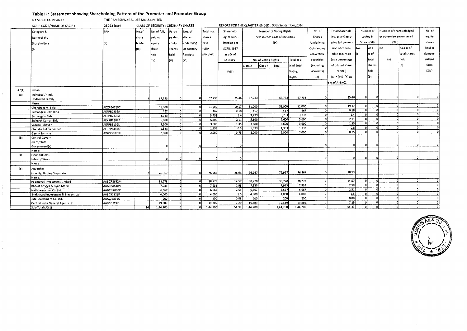#### Table II : Statement showing Shareholding Pattern of the Promoter and Promoter Group

NAMR OF COMPANY: THE RAMESHWARA JUTE MILLS LIMITED

 $\mathcal{A}$ 

in<br>F

 $\overline{1}$ 

 $\tilde{\phantom{a}}$ 

 $\sim$ 

|         | SCRIP CODE/NAME OF SRCIP:            | 28093 (cse)       | CLASS OF SECURITY : ORDINARY SHARES |              |            |            |            |                   | REPORT FOR THE QUARTER ENDED : 30th September, 2016 |                      |                                  |            |               |                       |            |              |                          |              |          |
|---------|--------------------------------------|-------------------|-------------------------------------|--------------|------------|------------|------------|-------------------|-----------------------------------------------------|----------------------|----------------------------------|------------|---------------|-----------------------|------------|--------------|--------------------------|--------------|----------|
|         | Category &                           | lpan.             | No.of                               | No. of fully | Partly     | Nos. of    | Total nos. | Sharehold-        | Number of Voting Rights                             |                      |                                  |            | No. of        | Total Sharehold-      |            | Number of    | Number of shares pledged |              | No. of   |
|         | Name of the                          |                   | share                               | paid up      | paid-up    | shares     | shares     | ing % calcu-      |                                                     |                      | held in each class of securities |            | <b>Shares</b> | ing, as a % assu-     |            | Locked in    | or otherwise encumbered  |              | equity   |
|         | Shareholders                         | (11)              | holder                              | lequity      | leguty     | underlying | held       | lated as per      |                                                     |                      | (1X)                             |            | Underlying    | ming full conver-     |            | Shares (XII) | (XIII)                   |              | shares   |
|         |                                      |                   | (111)                               | share        | shares     | Depository | $(VII)$ =  | <b>SCRR, 1957</b> |                                                     |                      |                                  |            | Outstanding   | sion of conver-       | No.        | l As a       | No                       | As a % of    | held in  |
|         |                                      |                   |                                     |              |            |            | (IV+V+VI)  | as a % of         |                                                     |                      |                                  |            | convertible   | tible securities      | l (a)      | % of         |                          | total shares | demate-  |
|         |                                      |                   |                                     | held         | held       | Receipts   |            |                   |                                                     |                      |                                  |            |               |                       |            |              |                          |              |          |
|         |                                      |                   |                                     | (IVI)        | (V)        | (WI)       |            | $(A+B+C2)$        |                                                     | No. of Voting Rights |                                  | Total as a | securities    | (as a percentage      |            | total        | (a)                      | held         | rialised |
|         |                                      |                   |                                     |              |            |            |            |                   | Class X                                             | Class Y              | Total                            | % of Total | (including    | of diluted share      |            | shares       |                          | (b)          | form     |
|         |                                      |                   |                                     |              |            |            |            | (VIII)            |                                                     | Voting               |                                  | Warrants)  | ca pital)     |                       | held       |              |                          | (X V)        |          |
|         |                                      |                   |                                     |              |            |            |            |                   |                                                     | Rights               |                                  |            |               | $(XI) = (VII)+(X)$ as |            | (b)          |                          |              |          |
|         |                                      |                   |                                     |              |            |            |            |                   |                                                     |                      |                                  |            |               | a % of A+B+C2         |            |              |                          |              |          |
|         |                                      |                   |                                     |              |            |            |            |                   |                                                     |                      |                                  |            |               |                       |            |              |                          |              |          |
| A'(1)   | Indian                               |                   |                                     |              |            |            |            |                   |                                                     |                      |                                  |            |               |                       |            |              |                          |              |          |
| (a)     | Individual/Hindu                     |                   |                                     |              |            |            |            |                   |                                                     |                      |                                  |            |               |                       |            |              |                          |              |          |
|         | Undivided Family                     |                   |                                     | 67,733       |            |            | 67,733     | 25.46             | 67,733                                              |                      | 67,733                           | 67,733     |               | 25.46                 |            |              |                          |              |          |
|         | Name:                                |                   |                                     |              |            |            |            |                   |                                                     |                      |                                  |            |               | 19.17                 | $\sqrt{ }$ |              |                          |              |          |
|         | Chandrakant Birla                    | ADZPB4710C        |                                     | 51,000       | οI         |            | 51,000     | 19.17             | 51,000                                              |                      | 51,000                           | 51,000     |               |                       |            |              |                          |              |          |
|         | Sumangala Devi Birla                 | AEFPB2335A        |                                     | 467          | $\Omega$   |            | 467        | 0.18              | 467                                                 |                      | 467                              | 467        |               | 0.18                  |            |              |                          |              |          |
|         | Sumangala Birla                      | AEFPB2335A        |                                     | 3,733        | οł         |            | 3,733      | 1.4               | 3.733                                               |                      | 3,733                            | 3,733      |               | 1.4                   |            |              |                          |              |          |
|         | Sidharth Kumar Birla                 | <b>AEKPB3109B</b> |                                     | 5,600        |            |            | 5,600      | 2.11              | 5,600                                               |                      | 5,600                            | 5,600      |               | 2.11                  |            |              |                          |              |          |
|         | Vasusri I Jhaver                     | AEFPB3109L        |                                     | 3,600        | οl         |            | 3,600      | 1.35              | 3,600                                               |                      | 3,600                            | 3,600      |               | 1.35                  |            |              |                          |              |          |
|         | .<br>Chandra Lekha Poddar            | AFPPP6447Q        |                                     | 1,333        |            |            | 1,333      | 0.5               | 1,333                                               |                      | 1,333                            | 1,333      |               | 0.5                   |            |              |                          |              |          |
|         | Ganga Somany                         | AWZP59078H        |                                     | 2,000        |            |            | 2,000      | 0.75              | 2,000                                               |                      | 2,000                            | 2,000      |               | 0.75                  |            |              |                          |              |          |
| (b)     | Central Govern-                      |                   |                                     |              |            |            |            |                   |                                                     |                      |                                  |            |               |                       |            |              |                          |              |          |
|         | ment/State                           |                   |                                     |              |            |            |            |                   |                                                     |                      |                                  |            |               |                       |            |              |                          |              |          |
|         | Government(s)                        |                   |                                     |              |            |            |            |                   |                                                     |                      |                                  |            |               |                       |            |              |                          |              |          |
|         | Name:                                |                   |                                     |              |            |            |            |                   |                                                     |                      |                                  |            |               |                       |            |              |                          |              |          |
| $\circ$ | Financial Insti-                     |                   |                                     |              |            |            |            |                   |                                                     |                      |                                  |            |               |                       |            |              |                          |              |          |
|         | tutions/Banks                        |                   |                                     |              |            |            |            |                   |                                                     |                      |                                  |            |               |                       |            |              |                          |              |          |
|         | Name:                                |                   |                                     |              |            |            |            |                   |                                                     |                      |                                  |            |               |                       |            |              |                          |              |          |
| (d)     | Any other                            |                   |                                     |              |            |            |            |                   |                                                     |                      |                                  |            |               |                       |            |              |                          |              |          |
|         | (specify) Bodies Corporate           |                   |                                     | 76,967       |            |            | 76,967     | 28.93             | 76,967                                              |                      | 76,967                           | 76,967     |               | 28.93                 |            |              |                          |              |          |
|         | Name:                                |                   |                                     |              |            |            |            |                   |                                                     |                      |                                  |            |               |                       |            |              |                          |              |          |
|         | Padmavati Investment Limited         | AABCP8632M        |                                     | 38,778       | $\sqrt{2}$ |            | 38,778     | 14.57             | 38,778                                              |                      | 38,778                           | 38,778     |               | 14.57                 |            |              |                          |              |          |
|         | Bharat Arogya & Gyan Mandir          | AAATB3540N        |                                     | 7,933        |            |            | 7,933      | 2.98              | 7,933                                               |                      | 7,933                            | 7,933      |               | 2.98                  | $\sqrt{2}$ |              |                          |              |          |
|         | Nathdwara Inv. Co. Ltd.              | AABCN7830P        |                                     | 6,667        |            |            | 6,667      | 2.51              | 6,667                                               |                      | 6,667                            | 6,667      |               | 2.51                  |            |              |                          |              |          |
|         | Shekhavati Investment & Traders Ltd. | AAEC52321P        |                                     | 4,000        |            |            | 4,000      | 1.5               | 4,000                                               |                      | 4,000                            | 4.000      |               | 1.5                   |            |              |                          |              |          |
|         | Jute Investment Co. Ltd.             | AAACJ6331Q        |                                     | 200          |            |            | 200        | 0.08              | 200                                                 |                      | 200                              | 200        |               | 0.08                  |            |              |                          |              |          |
|         | Central India General Agents Ltd.    | AABCC2197E        |                                     | 19,389       |            |            | 19,389     | 7.29              | 19,389                                              |                      | 19,389                           | 19,389     |               | 7.29                  |            |              |                          |              |          |
|         | Sub-Total (A)(1)                     |                   | 14                                  | 1,44,700     | -ol        |            | 1,44,700   | 54.39             | 1,44,700                                            |                      | 1.44,700                         | 1.44.700   |               | 54.39                 |            |              |                          |              |          |



 $\frac{1}{2} \left( \frac{1}{2} \right) \left( \frac{1}{2} \right) \left( \frac{1}{2} \right)$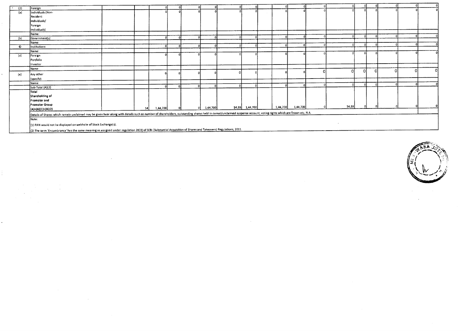| (2) | Foreign                                                                                                                                                                                                             |     |          |  |          |                 |          |          |          |          |   |  |  |
|-----|---------------------------------------------------------------------------------------------------------------------------------------------------------------------------------------------------------------------|-----|----------|--|----------|-----------------|----------|----------|----------|----------|---|--|--|
| (a) | Individuals (Non-                                                                                                                                                                                                   |     |          |  |          |                 |          |          |          |          |   |  |  |
|     | Resident                                                                                                                                                                                                            |     |          |  |          |                 |          |          |          |          |   |  |  |
|     | Individuals/                                                                                                                                                                                                        |     |          |  |          |                 |          |          |          |          |   |  |  |
|     | Foreign                                                                                                                                                                                                             |     |          |  |          |                 |          |          |          |          |   |  |  |
|     | Individuals)                                                                                                                                                                                                        |     |          |  |          |                 |          |          |          |          |   |  |  |
|     | Name:                                                                                                                                                                                                               |     |          |  |          |                 |          |          |          |          |   |  |  |
| (b) | Government(s)                                                                                                                                                                                                       |     |          |  | $\sim$   |                 |          |          |          |          |   |  |  |
|     | Name:                                                                                                                                                                                                               |     |          |  |          |                 |          |          |          |          |   |  |  |
| O   | Institutions                                                                                                                                                                                                        |     |          |  |          |                 |          |          |          |          |   |  |  |
|     | Name:                                                                                                                                                                                                               |     |          |  |          |                 |          |          |          |          |   |  |  |
| (d) | Foreign                                                                                                                                                                                                             |     |          |  |          |                 |          |          |          |          |   |  |  |
|     | Portfolio                                                                                                                                                                                                           |     |          |  |          |                 |          |          |          |          |   |  |  |
|     | Investor                                                                                                                                                                                                            |     |          |  |          |                 |          |          |          |          |   |  |  |
|     | Name:                                                                                                                                                                                                               |     |          |  |          |                 |          |          |          | $\Omega$ | O |  |  |
| (e) | Any other                                                                                                                                                                                                           |     |          |  |          |                 |          |          | $\Omega$ |          |   |  |  |
|     | (specify)                                                                                                                                                                                                           |     |          |  |          |                 |          |          |          |          |   |  |  |
|     | Name:                                                                                                                                                                                                               |     |          |  |          |                 |          |          |          |          |   |  |  |
|     | Sub-Total (A)(2)                                                                                                                                                                                                    |     |          |  |          |                 |          |          |          |          |   |  |  |
|     | Total                                                                                                                                                                                                               |     |          |  |          |                 |          |          |          |          |   |  |  |
|     | Shareholding of                                                                                                                                                                                                     |     |          |  |          |                 |          |          |          |          |   |  |  |
|     | Promoter and                                                                                                                                                                                                        |     |          |  |          |                 |          |          |          |          |   |  |  |
|     | Promoter Group                                                                                                                                                                                                      |     |          |  |          |                 |          |          |          | 54.39    |   |  |  |
|     | $(A)=(A)(1)+(A)(2)$                                                                                                                                                                                                 | -14 | 1,44,700 |  | 1,44,700 | \$4.39 1,44,700 | 1,44,700 | 1,44,700 |          |          |   |  |  |
|     | Details of Shares which remain unclaimed may be given hear along with details such as number of shareholders, outstanding shares held in demat/unclaimed suspense account, voting rights which are frozen etc. N.A. |     |          |  |          |                 |          |          |          |          |   |  |  |
|     | Note:                                                                                                                                                                                                               |     |          |  |          |                 |          |          |          |          |   |  |  |
|     |                                                                                                                                                                                                                     |     |          |  |          |                 |          |          |          |          |   |  |  |
|     | (1) PAN would not be displayed on webhsite of Stock Exchange(s).                                                                                                                                                    |     |          |  |          |                 |          |          |          |          |   |  |  |

(2) The term 'Encumbrance' has the same meaning as assigned under regulation 28(3) of SEER (Substantial Acquisition of Shares and Takeovers) Regulations, 2011.

 $\sim 10$ 

 $\sim 100$ 

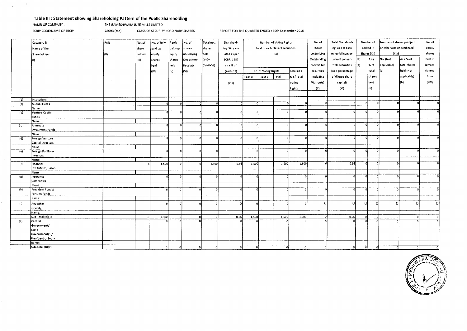#### **Table Ill : Statement showing Shareholding Pattern of the Public Shareholding**

NAMR OF COMPANY : THE RAMESHWARA JUTE MILLS LIMITED

 $\mathbf{r}$ 

SCRIP CODE/NAME OF SRCIP : 28093 (cse) CLASS OF SECURITY : ORDINARY SHARES REPORT FOR THE QUARTER ENDED : 30th September,2016

|     | Category &                | PAN  | Nos.of  | No. of fully | Partly   | No. of     | Total nos. | Sharehold-        | Number of Voting Rights |                                  |             |               | No. of      | Total Sharehold-  |              | Number of | Number of shares pledged |              | No. of   |
|-----|---------------------------|------|---------|--------------|----------|------------|------------|-------------------|-------------------------|----------------------------------|-------------|---------------|-------------|-------------------|--------------|-----------|--------------------------|--------------|----------|
|     | Name of the               |      | share   | paid up      | paid-up  | shares     | shares     | ing % calcu-      |                         | held in each class of securities |             |               | Shares      | ing, as a % assu- | Locked in    |           | or otherwise encumbered  |              | equity   |
|     | Shareholders              | (11) | holders | equity       | [equty   | underlying | held       | lated as per      |                         |                                  | (IX)        |               | Underlying  | ming full conver- | Shares (XII) |           | (X I)                    |              | shares   |
|     |                           |      |         |              |          |            | $=$ (IV)   | <b>SCRR, 1957</b> |                         |                                  |             |               | Outstanding | sion of conver-   | No           | lAs a     | No. (Not                 | As a % of    | held in  |
|     | m                         |      | (III)   | shares       | shares   | Depository |            |                   |                         |                                  |             |               |             |                   |              |           |                          |              |          |
|     |                           |      |         | held         | held     | Receipts   | (IV+V+VI)  | as a % of         |                         |                                  |             |               | convertible | tible securities  | (a)          | % of      | applicable)              | total shares | demate-  |
|     |                           |      |         | (IV)         | (V)      | (VI)       |            | $(A+B+C2)$        |                         | No. of Voting Rights             |             | Total as a    | securities  | (as a percentage  |              | total     | '(a)                     | held (Not    | rialised |
|     |                           |      |         |              |          |            |            |                   | Class X                 | Total<br>Class Y                 |             | % of Total    | (including  | of diluted share  |              | shares    |                          | applicable)  | form     |
|     |                           |      |         |              |          |            |            | (VIII)            |                         |                                  |             | Voting        | Warrants)   | capital)          |              | held      |                          | (b)          | (X V)    |
|     |                           |      |         |              |          |            |            |                   |                         |                                  |             |               |             |                   |              |           |                          |              |          |
|     |                           |      |         |              |          |            |            |                   |                         |                                  |             | <b>Rights</b> | (X)         | (X1)              |              | (Ы)       |                          |              |          |
|     |                           |      |         |              |          |            |            |                   |                         |                                  |             |               |             |                   |              |           |                          |              |          |
| (1) | Institutions              |      |         |              |          |            |            |                   |                         |                                  |             |               |             |                   |              |           |                          |              |          |
| (a) | Mutual Funds              |      |         | ΩI           |          |            |            | .ni               | -ol                     |                                  | $\Omega$    | $\Omega$      | ٥l          |                   | $\Omega$     |           | n                        | n.           |          |
|     | Name:                     |      |         |              |          |            |            |                   |                         |                                  |             |               |             |                   |              |           |                          |              |          |
| (b) | Venture Capital           |      |         | -ni          | f.       | n          |            |                   | n                       |                                  |             |               |             | $\Omega$          |              |           | n                        |              |          |
|     | Funds                     |      |         |              |          |            |            |                   |                         |                                  |             |               |             |                   |              |           |                          |              |          |
|     | Name:                     |      |         |              |          |            |            |                   | $\Omega$                |                                  | n           |               |             | n                 |              |           |                          |              |          |
| (c) | Alternate                 |      |         | -ni          | $\Omega$ |            | $\Omega$   | -o l              |                         |                                  |             |               |             |                   |              |           |                          |              |          |
|     | <b>Investment Funds</b>   |      |         |              |          |            |            |                   |                         |                                  |             |               |             |                   |              |           |                          |              |          |
| (d) | Name:<br>Foreign Venture  |      |         |              | n        |            |            | o                 | $\Omega$                |                                  | $\Omega$    |               |             | οI                |              |           |                          |              |          |
|     | Capital Investors         |      |         |              |          |            |            |                   |                         |                                  |             |               |             |                   |              |           |                          |              |          |
|     | Name:                     |      |         |              |          |            |            |                   |                         |                                  |             |               |             |                   |              |           |                          |              |          |
| (e) | Foreign Portfolio         |      |         |              | $\Omega$ |            |            |                   |                         |                                  | $\mathbf 0$ |               |             | οI                |              | n         |                          |              |          |
|     | Investors                 |      |         |              |          |            |            |                   |                         |                                  |             |               |             |                   |              |           |                          |              |          |
|     | Name:                     |      |         |              |          |            |            |                   |                         |                                  |             |               |             |                   |              |           |                          |              |          |
| (f) | Financial                 |      |         | 1,500        | n        |            | 1,500      | 0.56              | 1,500                   |                                  | 1,500       | 1,500         |             | 0.56              |              | n         |                          |              |          |
|     | Institutions/Banks        |      |         |              |          |            |            |                   |                         |                                  |             |               |             |                   |              |           |                          |              |          |
|     | Name:                     |      |         |              |          |            |            |                   |                         |                                  |             |               |             |                   |              |           |                          |              |          |
| (g) | Insurance                 |      |         |              |          |            | D          |                   | ٥i                      |                                  | οl          |               |             |                   |              | $\Omega$  |                          |              |          |
|     | Companies                 |      |         |              |          |            |            |                   |                         |                                  |             |               |             |                   |              |           |                          |              |          |
|     | Name:<br>Provident Funds/ |      |         |              |          |            |            | -ni               | n                       |                                  | $\Omega$    | n.            |             | $\sqrt{2}$        | $\Omega$     | $\Omega$  | o                        |              |          |
| (h) | Pension Funds             |      |         |              |          |            |            |                   |                         |                                  |             |               |             |                   |              |           |                          |              |          |
|     | Name:                     |      |         |              |          |            |            |                   |                         |                                  |             |               |             |                   |              |           |                          |              |          |
|     |                           |      |         |              |          |            |            | $\circ$           |                         |                                  |             |               | $\Omega$    | n                 | ΩI           | -ni       |                          | ∩            | n.       |
| (i) | Any other                 |      |         |              |          |            |            |                   |                         |                                  |             |               |             |                   |              |           |                          |              |          |
|     | (specify)<br>Name:        |      |         |              |          |            |            |                   |                         |                                  |             |               |             |                   |              |           |                          |              |          |
|     | Sub-Total (B)(1)          |      |         | 1,500        | $\Omega$ |            |            | 0.56              | 1,500                   |                                  | 1,500       | 1,500         |             | 0.56              | 0            |           |                          |              |          |
| (2) | Central                   |      |         |              |          |            |            |                   |                         |                                  |             |               |             |                   |              |           |                          |              |          |
|     | Government/               |      |         |              |          |            |            |                   |                         |                                  |             |               |             |                   |              |           |                          |              |          |
|     | State                     |      |         |              |          |            |            |                   |                         |                                  |             |               |             |                   |              |           |                          |              |          |
|     | Government(s)/            |      |         |              |          |            |            |                   |                         |                                  |             |               |             |                   |              |           |                          |              |          |
|     | President of India        |      |         |              |          |            |            |                   |                         |                                  |             |               |             |                   |              |           |                          |              |          |
|     | Name:                     |      |         |              |          |            |            |                   |                         |                                  |             |               |             |                   |              |           |                          |              |          |
|     | Sub-Total (B)(2)          |      |         | $\Omega$     | $\Omega$ | -ni        | $\Omega$   | $\Omega$          | οI                      |                                  |             |               |             | -o l              | $\Omega$     | οl        | -0.                      |              |          |

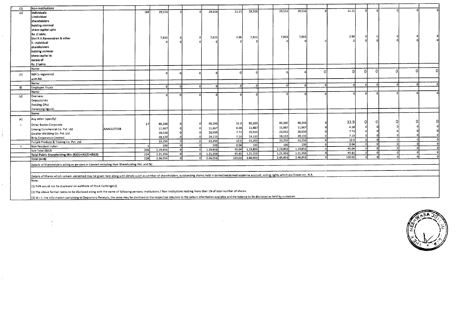| (3) | Non-Institutions                                                                                                                                                                                                     |            | 188 | 29,556   |          | 29,556   | 11.11  | 29,556   | 29,556     | 29,556   |          | 11.11    |          |            |          |          |          |
|-----|----------------------------------------------------------------------------------------------------------------------------------------------------------------------------------------------------------------------|------------|-----|----------|----------|----------|--------|----------|------------|----------|----------|----------|----------|------------|----------|----------|----------|
| (a) | individuals-                                                                                                                                                                                                         |            |     |          |          |          |        |          |            |          |          |          |          |            |          |          |          |
|     | i.Individuai                                                                                                                                                                                                         |            |     |          |          |          |        |          |            |          |          |          |          |            |          |          |          |
|     | shareholders                                                                                                                                                                                                         |            |     |          |          |          |        |          |            |          |          |          |          |            |          |          |          |
|     | hoiding nominal                                                                                                                                                                                                      |            |     |          |          |          |        |          |            |          |          |          |          |            |          |          |          |
|     | share capital upto                                                                                                                                                                                                   |            |     |          |          |          |        |          |            |          |          |          |          |            |          |          |          |
|     | Rs. 2 iakhs.                                                                                                                                                                                                         |            |     |          | $\Omega$ |          | 2.98   | 7,933    | 7,933      | 7,933    |          | 2.98     |          |            |          |          |          |
|     | Shri R.V.Raveendran & other                                                                                                                                                                                          |            |     | 7,933    |          | 7,933    |        |          |            |          |          |          |          |            |          |          |          |
|     | i. Individual                                                                                                                                                                                                        |            |     |          |          |          |        |          |            |          |          |          |          |            |          |          |          |
|     | sharehoiders                                                                                                                                                                                                         |            |     |          |          |          |        |          |            |          |          |          |          |            |          |          |          |
|     | holding nominai                                                                                                                                                                                                      |            |     |          |          |          |        |          |            |          |          |          |          |            |          |          |          |
|     | share capital in                                                                                                                                                                                                     |            |     |          |          |          |        |          |            |          |          |          |          |            |          |          |          |
|     | excess of                                                                                                                                                                                                            |            |     |          |          |          |        |          |            |          |          |          |          |            |          |          |          |
|     | Rs. 2 lakhs.                                                                                                                                                                                                         |            |     |          |          |          |        |          |            |          |          |          |          |            |          |          |          |
|     | Name:                                                                                                                                                                                                                |            |     |          |          |          |        |          |            |          | $\Omega$ | 0.       | n        | n          |          | $\Omega$ | $\Omega$ |
| (b) | NBFCs registered                                                                                                                                                                                                     |            |     |          |          |          |        |          |            |          |          |          |          |            |          |          |          |
|     | with RBI                                                                                                                                                                                                             |            |     |          |          |          |        |          |            |          |          |          |          |            |          |          |          |
|     | Name:                                                                                                                                                                                                                |            |     |          |          |          |        |          |            |          |          |          |          |            |          | $\Omega$ |          |
| O   | Employee Trusts                                                                                                                                                                                                      |            |     |          |          | $\Omega$ |        | $\Omega$ | $\sqrt{2}$ |          |          | $\Omega$ |          |            |          |          |          |
|     | Name:                                                                                                                                                                                                                |            |     |          |          |          |        |          |            |          |          |          |          |            |          |          |          |
| (d) | Overseas                                                                                                                                                                                                             |            |     |          |          |          |        |          |            |          |          |          |          |            |          |          |          |
|     | Depositories                                                                                                                                                                                                         |            |     |          |          |          |        |          |            |          |          |          |          |            |          |          |          |
|     | (holding DRs)                                                                                                                                                                                                        |            |     |          |          |          |        |          |            |          |          |          |          |            |          |          |          |
|     | (balancing figure)                                                                                                                                                                                                   |            |     |          |          |          |        |          |            |          |          |          |          |            |          |          |          |
|     | Name:                                                                                                                                                                                                                |            |     |          |          |          |        |          |            |          |          |          |          |            |          |          |          |
|     |                                                                                                                                                                                                                      |            |     |          |          |          |        |          |            |          |          |          |          |            |          |          |          |
| (e) | Any other (specify)                                                                                                                                                                                                  |            |     |          |          |          |        |          | 90,200     | 90,200   |          | 33.9     | O        |            |          |          |          |
|     | Other Bodies Corporate                                                                                                                                                                                               |            | 17  | 90,200   |          | 90,200   | 33.9   | 90,200   |            |          |          | 4.38     |          |            |          |          |          |
|     | Umang Commercial Co. Pvt. Ltd.                                                                                                                                                                                       | AAACU3731B |     | 11,667   |          | 11,667   | 4.38   | 11,667   | 11,667     | 11,667   |          | 7.73     |          |            |          |          |          |
|     | Gwalior Webbing Co. Pvt. Ltd.                                                                                                                                                                                        |            |     | 20,550   |          | 20,550   | 7.73   | 20,550   | 20,550     | 20,550   |          | 7.19     |          |            |          |          |          |
|     | <b>Birla Corporation Limited</b>                                                                                                                                                                                     |            |     | 19.133   |          | 19,133   | 7.19   | 19,133   | 19,133     | 19,133   | $\Omega$ | 12.5     | $\Omega$ | $\Omega$   |          |          |          |
|     | Punjab Produce & Trading Co. Pvt. Ltd.                                                                                                                                                                               |            |     | 33,250   |          | 33,250   | 12.5   | 33,250   | 33,250     | 33,250   |          | 0.04     | ſ.       |            |          |          |          |
|     | Non Resident Indian                                                                                                                                                                                                  |            |     | 100      |          | 100      | 0.04   | 100      | 100        | 100      | $\Omega$ | 45.04    | $\Omega$ | $\sqrt{2}$ |          |          |          |
|     | Sub-Total (B)(3)                                                                                                                                                                                                     |            | 206 | 1,19,856 |          | 1,19,856 | 45.04  | 1,19,856 | 1,19,856   | 1,19,856 |          | 45.61    | $\Omega$ | $\Omega$   | n        |          |          |
|     | Total Public Shareholding (B)= (B)(1)+(B)(2)+(B)(3)                                                                                                                                                                  |            | 214 | 1,21,356 |          | 1,21,356 | 45.61  | 1,21,356 | 1,21,356   | 1,21,356 | -0       | 100.00   | - 0      | $\Omega$   | $\Omega$ |          |          |
|     | Total (A+B)                                                                                                                                                                                                          |            | 228 | 2,66,056 |          | 2,66,056 | 100.00 | 2,66,056 | 2,66,056   | 2,66,056 | $\Omega$ |          |          |            |          |          |          |
|     | Details of Shareholders acting as persons in Concert including their Shareholding (No. and %)                                                                                                                        |            |     |          |          |          |        |          |            |          |          |          |          |            |          |          |          |
|     |                                                                                                                                                                                                                      |            |     |          |          |          |        |          |            |          |          |          |          |            |          |          |          |
|     |                                                                                                                                                                                                                      |            |     |          |          |          |        |          |            |          |          |          |          |            |          |          |          |
|     | Details of Shares which remain unclaimed may be given here along with details suich as unmber of shareholders, outstanding shares held in demat/unclaimed suspense account, voting rights which are frozen etc. N.A. |            |     |          |          |          |        |          |            |          |          |          |          |            |          |          |          |
|     | Note:                                                                                                                                                                                                                |            |     |          |          |          |        |          |            |          |          |          |          |            |          |          |          |

 $\sim$ 

(1) PAN would not be displayed on webhsite of Stock Exchange(s).

A.

 $\frac{1}{2}$ 

 $\bar{a}$ 

 $\ket{\text{c}}$  The above format needs to be disclosed along with the name of following persons; Institutions / Non Institutions holding more than 1% of total number of shares.

(3) W.r.t. the information pertaining to Depository Receipts, the same may be disclosed in the respective columns to the extent information available and the balance to be disclosed as held by custodian.